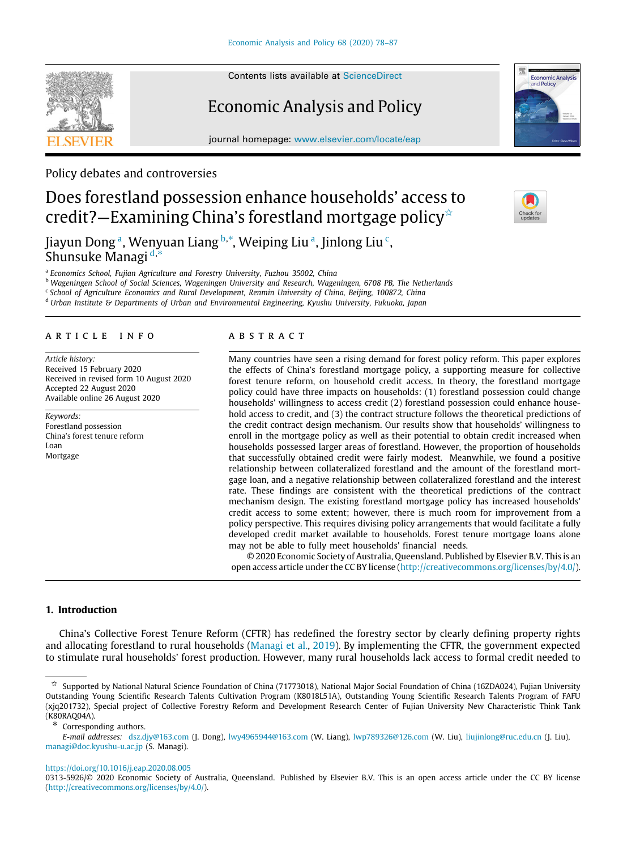Contents lists available at [ScienceDirect](http://www.elsevier.com/locate/eap)

# Economic Analysis and Policy

journal homepage: [www.elsevier.com/locate/eap](http://www.elsevier.com/locate/eap)

Policy debates and controversies

# Does forestland possession enhance households' access to credit?—Examining China's forestland mortgage policy<sup> $\triangle$ </sup>

Ji[a](#page-0-1)yun Dong <sup>a</sup>, Wenyuan Liang <sup>[b](#page-0-2),</sup>\*, Weiping Liu <sup>a</sup>, Jinlong Liu <sup>[c](#page-0-4)</sup>, Shunsuke Managi [d](#page-0-5),[∗](#page-0-3)

<span id="page-0-1"></span>a *Economics School, Fujian Agriculture and Forestry University, Fuzhou 35002, China*

<span id="page-0-2"></span><sup>b</sup> *Wageningen School of Social Sciences, Wageningen University and Research, Wageningen, 6708 PB, The Netherlands*

<span id="page-0-4"></span>c *School of Agriculture Economics and Rural Development, Renmin University of China, Beijing, 100872, China*

<span id="page-0-5"></span><sup>d</sup> *Urban Institute & Departments of Urban and Environmental Engineering, Kyushu University, Fukuoka, Japan*

## a r t i c l e i n f o

*Article history:* Received 15 February 2020 Received in revised form 10 August 2020 Accepted 22 August 2020 Available online 26 August 2020

*Keywords:* Forestland possession China's forest tenure reform Loan Mortgage

# a b s t r a c t

Many countries have seen a rising demand for forest policy reform. This paper explores the effects of China's forestland mortgage policy, a supporting measure for collective forest tenure reform, on household credit access. In theory, the forestland mortgage policy could have three impacts on households: (1) forestland possession could change households' willingness to access credit (2) forestland possession could enhance household access to credit, and (3) the contract structure follows the theoretical predictions of the credit contract design mechanism. Our results show that households' willingness to enroll in the mortgage policy as well as their potential to obtain credit increased when households possessed larger areas of forestland. However, the proportion of households that successfully obtained credit were fairly modest. Meanwhile, we found a positive relationship between collateralized forestland and the amount of the forestland mortgage loan, and a negative relationship between collateralized forestland and the interest rate. These findings are consistent with the theoretical predictions of the contract mechanism design. The existing forestland mortgage policy has increased households' credit access to some extent; however, there is much room for improvement from a policy perspective. This requires divising policy arrangements that would facilitate a fully developed credit market available to households. Forest tenure mortgage loans alone may not be able to fully meet households' financial needs.

© 2020 Economic Society of Australia, Queensland. Published by Elsevier B.V. This is an open access article under the CC BY license [\(http://creativecommons.org/licenses/by/4.0/](http://creativecommons.org/licenses/by/4.0/)).

## **1. Introduction**

China's Collective Forest Tenure Reform (CFTR) has redefined the forestry sector by clearly defining property rights and allocating forestland to rural households [\(Managi et al.](#page-9-0), [2019\)](#page-9-0). By implementing the CFTR, the government expected to stimulate rural households' forest production. However, many rural households lack access to formal credit needed to

<span id="page-0-3"></span>Corresponding authors.

<https://doi.org/10.1016/j.eap.2020.08.005>







<span id="page-0-0"></span>Supported by National Natural Science Foundation of China (71773018), National Major Social Foundation of China (16ZDA024), Fujian University Outstanding Young Scientific Research Talents Cultivation Program (K8018L51A), Outstanding Young Scientific Research Talents Program of FAFU (xjq201732), Special project of Collective Forestry Reform and Development Research Center of Fujian University New Characteristic Think Tank (K80RAQ04A).

*E-mail addresses:* [dsz.djy@163.com](mailto:dsz.djy@163.com) (J. Dong), [lwy4965944@163.com](mailto:lwy4965944@163.com) (W. Liang), [lwp789326@126.com](mailto:lwp789326@126.com) (W. Liu), [liujinlong@ruc.edu.cn](mailto:liujinlong@ruc.edu.cn) (J. Liu), [managi@doc.kyushu-u.ac.jp](mailto:managi@doc.kyushu-u.ac.jp) (S. Managi).

<sup>0313-5926/</sup>© 2020 Economic Society of Australia, Queensland. Published by Elsevier B.V. This is an open access article under the CC BY license [\(http://creativecommons.org/licenses/by/4.0/](http://creativecommons.org/licenses/by/4.0/)).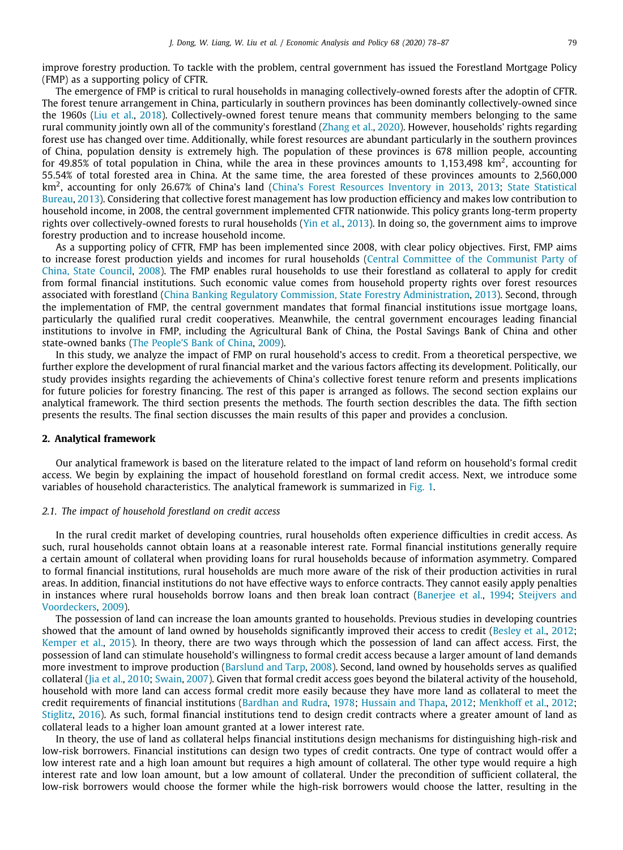improve forestry production. To tackle with the problem, central government has issued the Forestland Mortgage Policy (FMP) as a supporting policy of CFTR.

The emergence of FMP is critical to rural households in managing collectively-owned forests after the adoptin of CFTR. The forest tenure arrangement in China, particularly in southern provinces has been dominantly collectively-owned since the 1960s [\(Liu et al.,](#page-9-1) [2018](#page-9-1)). Collectively-owned forest tenure means that community members belonging to the same rural community jointly own all of the community's forestland ([Zhang et al.](#page-9-2), [2020](#page-9-2)). However, households' rights regarding forest use has changed over time. Additionally, while forest resources are abundant particularly in the southern provinces of China, population density is extremely high. The population of these provinces is 678 million people, accounting for 49.85% of total population in China, while the area in these provinces amounts to 1,153,498 km<sup>2</sup>, accounting for 55.54% of total forested area in China. At the same time, the area forested of these provinces amounts to 2,560,000 km<sup>2</sup> , accounting for only 26.67% of China's land [\(China's Forest Resources Inventory in 2013,](#page-9-3) [2013;](#page-9-3) [State Statistical](#page-9-4) [Bureau,](#page-9-4) [2013\)](#page-9-4). Considering that collective forest management has low production efficiency and makes low contribution to household income, in 2008, the central government implemented CFTR nationwide. This policy grants long-term property rights over collectively-owned forests to rural households [\(Yin et al.](#page-9-5), [2013\)](#page-9-5). In doing so, the government aims to improve forestry production and to increase household income.

As a supporting policy of CFTR, FMP has been implemented since 2008, with clear policy objectives. First, FMP aims to increase forest production yields and incomes for rural households [\(Central Committee of the Communist Party of](#page-9-6) [China, State Council,](#page-9-6) [2008](#page-9-6)). The FMP enables rural households to use their forestland as collateral to apply for credit from formal financial institutions. Such economic value comes from household property rights over forest resources associated with forestland ([China Banking Regulatory Commission, State Forestry Administration,](#page-9-7) [2013](#page-9-7)). Second, through the implementation of FMP, the central government mandates that formal financial institutions issue mortgage loans, particularly the qualified rural credit cooperatives. Meanwhile, the central government encourages leading financial institutions to involve in FMP, including the Agricultural Bank of China, the Postal Savings Bank of China and other state-owned banks ([The People'S Bank of China](#page-9-8), [2009\)](#page-9-8).

In this study, we analyze the impact of FMP on rural household's access to credit. From a theoretical perspective, we further explore the development of rural financial market and the various factors affecting its development. Politically, our study provides insights regarding the achievements of China's collective forest tenure reform and presents implications for future policies for forestry financing. The rest of this paper is arranged as follows. The second section explains our analytical framework. The third section presents the methods. The fourth section describles the data. The fifth section presents the results. The final section discusses the main results of this paper and provides a conclusion.

### **2. Analytical framework**

Our analytical framework is based on the literature related to the impact of land reform on household's formal credit access. We begin by explaining the impact of household forestland on formal credit access. Next, we introduce some variables of household characteristics. The analytical framework is summarized in [Fig.](#page-3-0) [1.](#page-3-0)

## *2.1. The impact of household forestland on credit access*

<span id="page-1-0"></span>In the rural credit market of developing countries, rural households often experience difficulties in credit access. As such, rural households cannot obtain loans at a reasonable interest rate. Formal financial institutions generally require a certain amount of collateral when providing loans for rural households because of information asymmetry. Compared to formal financial institutions, rural households are much more aware of the risk of their production activities in rural areas. In addition, financial institutions do not have effective ways to enforce contracts. They cannot easily apply penalties in instances where rural households borrow loans and then break loan contract ([Banerjee et al.,](#page-8-0) [1994;](#page-8-0) [Steijvers and](#page-9-9) [Voordeckers](#page-9-9), [2009](#page-9-9)).

The possession of land can increase the loan amounts granted to households. Previous studies in developing countries showed that the amount of land owned by households significantly improved their access to credit ([Besley et al.](#page-9-10), [2012](#page-9-10); [Kemper et al.](#page-9-11), [2015\)](#page-9-11). In theory, there are two ways through which the possession of land can affect access. First, the possession of land can stimulate household's willingness to formal credit access because a larger amount of land demands more investment to improve production ([Barslund and Tarp,](#page-9-12) [2008](#page-9-12)). Second, land owned by households serves as qualified collateral ([Jia et al.](#page-9-13), [2010;](#page-9-13) [Swain](#page-9-14), [2007](#page-9-14)). Given that formal credit access goes beyond the bilateral activity of the household, household with more land can access formal credit more easily because they have more land as collateral to meet the credit requirements of financial institutions ([Bardhan and Rudra](#page-9-15), [1978](#page-9-15); [Hussain and Thapa](#page-9-16), [2012](#page-9-16); [Menkhoff et al.,](#page-9-17) [2012](#page-9-17); [Stiglitz](#page-9-18), [2016\)](#page-9-18). As such, formal financial institutions tend to design credit contracts where a greater amount of land as collateral leads to a higher loan amount granted at a lower interest rate.

In theory, the use of land as collateral helps financial institutions design mechanisms for distinguishing high-risk and low-risk borrowers. Financial institutions can design two types of credit contracts. One type of contract would offer a low interest rate and a high loan amount but requires a high amount of collateral. The other type would require a high interest rate and low loan amount, but a low amount of collateral. Under the precondition of sufficient collateral, the low-risk borrowers would choose the former while the high-risk borrowers would choose the latter, resulting in the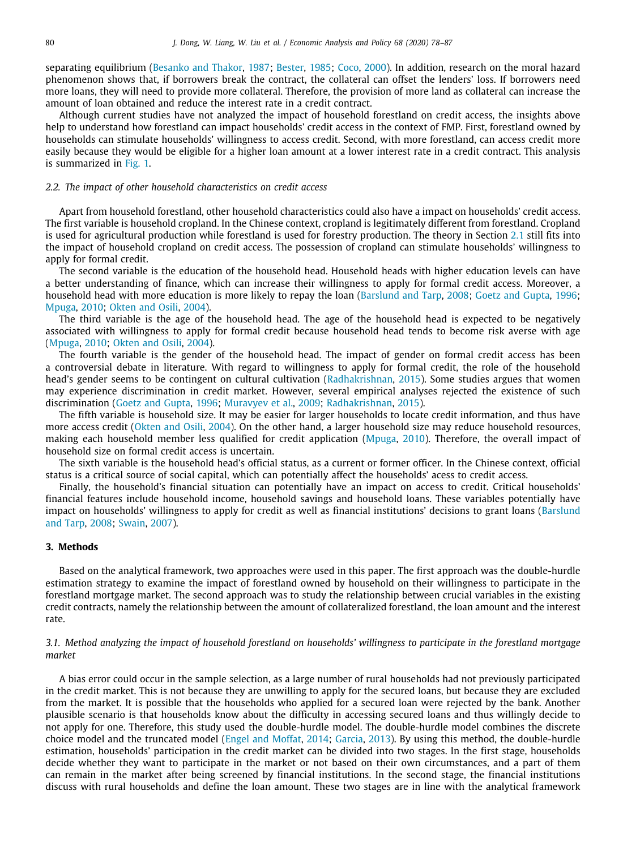separating equilibrium ([Besanko and Thakor,](#page-9-19) [1987;](#page-9-19) [Bester,](#page-9-20) [1985;](#page-9-20) [Coco,](#page-9-21) [2000\)](#page-9-21). In addition, research on the moral hazard phenomenon shows that, if borrowers break the contract, the collateral can offset the lenders' loss. If borrowers need more loans, they will need to provide more collateral. Therefore, the provision of more land as collateral can increase the amount of loan obtained and reduce the interest rate in a credit contract.

Although current studies have not analyzed the impact of household forestland on credit access, the insights above help to understand how forestland can impact households' credit access in the context of FMP. First, forestland owned by households can stimulate households' willingness to access credit. Second, with more forestland, can access credit more easily because they would be eligible for a higher loan amount at a lower interest rate in a credit contract. This analysis is summarized in [Fig.](#page-3-0) [1](#page-3-0).

# *2.2. The impact of other household characteristics on credit access*

Apart from household forestland, other household characteristics could also have a impact on households' credit access. The first variable is household cropland. In the Chinese context, cropland is legitimately different from forestland. Cropland is used for agricultural production while forestland is used for forestry production. The theory in Section [2.1](#page-1-0) still fits into the impact of household cropland on credit access. The possession of cropland can stimulate households' willingness to apply for formal credit.

The second variable is the education of the household head. Household heads with higher education levels can have a better understanding of finance, which can increase their willingness to apply for formal credit access. Moreover, a household head with more education is more likely to repay the loan [\(Barslund and Tarp](#page-9-12), [2008](#page-9-12); [Goetz and Gupta,](#page-9-22) [1996](#page-9-22); [Mpuga](#page-9-23), [2010](#page-9-23); [Okten and Osili,](#page-9-24) [2004\)](#page-9-24).

The third variable is the age of the household head. The age of the household head is expected to be negatively associated with willingness to apply for formal credit because household head tends to become risk averse with age ([Mpuga](#page-9-23), [2010](#page-9-23); [Okten and Osili,](#page-9-24) [2004\)](#page-9-24).

The fourth variable is the gender of the household head. The impact of gender on formal credit access has been a controversial debate in literature. With regard to willingness to apply for formal credit, the role of the household head's gender seems to be contingent on cultural cultivation [\(Radhakrishnan](#page-9-25), [2015\)](#page-9-25). Some studies argues that women may experience discrimination in credit market. However, several empirical analyses rejected the existence of such discrimination [\(Goetz and Gupta](#page-9-22), [1996](#page-9-22); [Muravyev et al.](#page-9-26), [2009;](#page-9-26) [Radhakrishnan,](#page-9-25) [2015\)](#page-9-25).

The fifth variable is household size. It may be easier for larger households to locate credit information, and thus have more access credit ([Okten and Osili,](#page-9-24) [2004\)](#page-9-24). On the other hand, a larger household size may reduce household resources, making each household member less qualified for credit application ([Mpuga](#page-9-23), [2010](#page-9-23)). Therefore, the overall impact of household size on formal credit access is uncertain.

The sixth variable is the household head's official status, as a current or former officer. In the Chinese context, official status is a critical source of social capital, which can potentially affect the households' acess to credit access.

Finally, the household's financial situation can potentially have an impact on access to credit. Critical households' financial features include household income, household savings and household loans. These variables potentially have impact on households' willingness to apply for credit as well as financial institutions' decisions to grant loans ([Barslund](#page-9-12) [and Tarp](#page-9-12), [2008](#page-9-12); [Swain](#page-9-14), [2007\)](#page-9-14).

# **3. Methods**

Based on the analytical framework, two approaches were used in this paper. The first approach was the double-hurdle estimation strategy to examine the impact of forestland owned by household on their willingness to participate in the forestland mortgage market. The second approach was to study the relationship between crucial variables in the existing credit contracts, namely the relationship between the amount of collateralized forestland, the loan amount and the interest rate.

# *3.1. Method analyzing the impact of household forestland on households' willingness to participate in the forestland mortgage market*

A bias error could occur in the sample selection, as a large number of rural households had not previously participated in the credit market. This is not because they are unwilling to apply for the secured loans, but because they are excluded from the market. It is possible that the households who applied for a secured loan were rejected by the bank. Another plausible scenario is that households know about the difficulty in accessing secured loans and thus willingly decide to not apply for one. Therefore, this study used the double-hurdle model. The double-hurdle model combines the discrete choice model and the truncated model ([Engel and Moffat](#page-9-27), [2014](#page-9-27); [Garcia](#page-9-28), [2013](#page-9-28)). By using this method, the double-hurdle estimation, households' participation in the credit market can be divided into two stages. In the first stage, households decide whether they want to participate in the market or not based on their own circumstances, and a part of them can remain in the market after being screened by financial institutions. In the second stage, the financial institutions discuss with rural households and define the loan amount. These two stages are in line with the analytical framework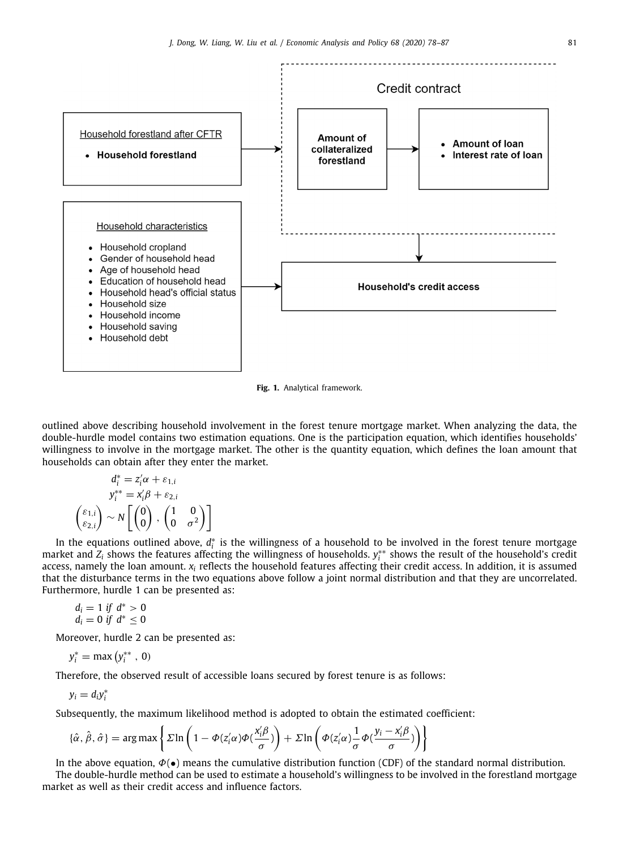

**Fig. 1.** Analytical framework.

<span id="page-3-0"></span>outlined above describing household involvement in the forest tenure mortgage market. When analyzing the data, the double-hurdle model contains two estimation equations. One is the participation equation, which identifies households' willingness to involve in the mortgage market. The other is the quantity equation, which defines the loan amount that households can obtain after they enter the market.

$$
d_i^* = z_i' \alpha + \varepsilon_{1,i}
$$
  
\n
$$
y_i^{**} = x_i' \beta + \varepsilon_{2,i}
$$
  
\n
$$
\begin{pmatrix} \varepsilon_{1,i} \\ \varepsilon_{2,i} \end{pmatrix} \sim N \begin{bmatrix} 0 \\ 0 \end{bmatrix}, \begin{pmatrix} 1 & 0 \\ 0 & \sigma^2 \end{pmatrix}
$$

In the equations outlined above,  $d_i^*$  is the willingness of a household to be involved in the forest tenure mortgage market and *Z*<sub>*i*</sub> shows the features affecting the willingness of households.  $y_i^{**}$  shows the result of the household's credit access, namely the loan amount. *x<sup>i</sup>* reflects the household features affecting their credit access. In addition, it is assumed that the disturbance terms in the two equations above follow a joint normal distribution and that they are uncorrelated. Furthermore, hurdle 1 can be presented as:

$$
d_i = 1 \text{ if } d^* > 0
$$
  

$$
d_i = 0 \text{ if } d^* \leq 0
$$

Moreover, hurdle 2 can be presented as:

 $y_i^* = \max(y_i^{**}, 0)$ 

Therefore, the observed result of accessible loans secured by forest tenure is as follows:

$$
y_i = d_i y_i^*
$$

Subsequently, the maximum likelihood method is adopted to obtain the estimated coefficient:

$$
\{\hat{\alpha}, \hat{\beta}, \hat{\sigma}\} = \arg \max \left\{ \Sigma \ln \left( 1 - \Phi(z_i' \alpha) \Phi(\frac{x_i' \beta}{\sigma}) \right) + \Sigma \ln \left( \Phi(z_i' \alpha) \frac{1}{\sigma} \Phi(\frac{y_i - x_i' \beta}{\sigma}) \right) \right\}
$$

In the above equation,  $\Phi(\bullet)$  means the cumulative distribution function (CDF) of the standard normal distribution. The double-hurdle method can be used to estimate a household's willingness to be involved in the forestland mortgage market as well as their credit access and influence factors.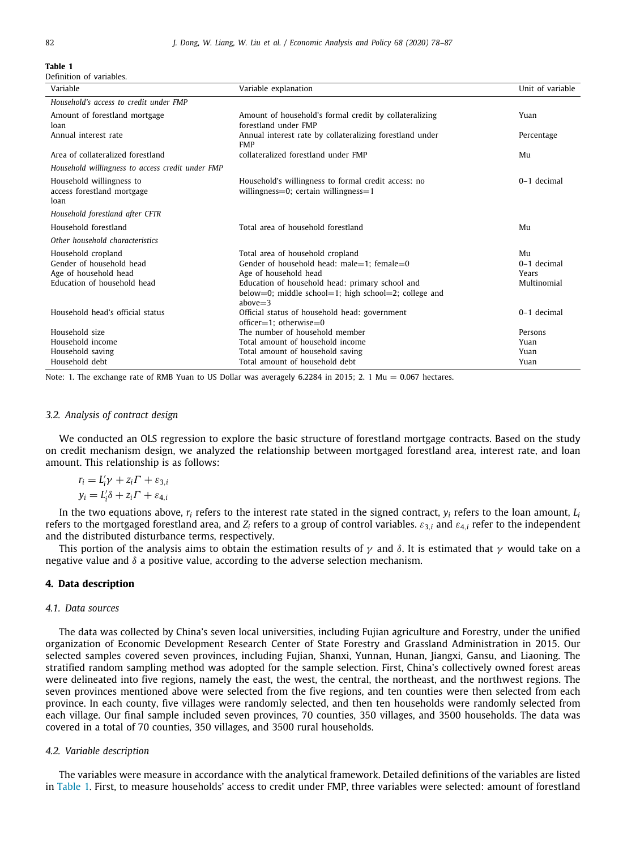<span id="page-4-0"></span>Definition of variables.

| Variable                                                       | Variable explanation                                                                                                   | Unit of variable |
|----------------------------------------------------------------|------------------------------------------------------------------------------------------------------------------------|------------------|
| Household's access to credit under FMP                         |                                                                                                                        |                  |
| Amount of forestland mortgage<br>loan                          | Amount of household's formal credit by collateralizing<br>forestland under FMP                                         | Yuan             |
| Annual interest rate                                           | Annual interest rate by collateralizing forestland under<br><b>FMP</b>                                                 | Percentage       |
| Area of collateralized forestland                              | collateralized forestland under FMP                                                                                    | Mu               |
| Household willingness to access credit under FMP               |                                                                                                                        |                  |
| Household willingness to<br>access forestland mortgage<br>loan | Household's willingness to formal credit access: no<br>willingness= $0$ ; certain willingness= $1$                     | 0-1 decimal      |
| Household forestland after CFTR                                |                                                                                                                        |                  |
| Household forestland                                           | Total area of household forestland                                                                                     | Mu               |
| Other household characteristics                                |                                                                                                                        |                  |
| Household cropland                                             | Total area of household cropland                                                                                       | Mu               |
| Gender of household head                                       | Gender of household head: male=1: female=0                                                                             | $0-1$ decimal    |
| Age of household head                                          | Age of household head                                                                                                  | Years            |
| Education of household head                                    | Education of household head: primary school and<br>below=0; middle school=1; high school=2; college and<br>$above = 3$ | Multinomial      |
| Household head's official status                               | Official status of household head: government<br>$offset=1$ : otherwise=0                                              | 0-1 decimal      |
| Household size                                                 | The number of household member                                                                                         | Persons          |
| Household income                                               | Total amount of household income                                                                                       | Yuan             |
| Household saving                                               | Total amount of household saving                                                                                       | Yuan             |
| Household debt                                                 | Total amount of household debt                                                                                         | Yuan             |

Note: 1. The exchange rate of RMB Yuan to US Dollar was averagely 6.2284 in 2015; 2. 1 Mu =  $0.067$  hectares.

#### *3.2. Analysis of contract design*

We conducted an OLS regression to explore the basic structure of forestland mortgage contracts. Based on the study on credit mechanism design, we analyzed the relationship between mortgaged forestland area, interest rate, and loan amount. This relationship is as follows:

$$
r_i = L'_i \gamma + z_i \Gamma + \varepsilon_{3,i}
$$
  

$$
y_i = L'_i \delta + z_i \Gamma + \varepsilon_{4,i}
$$

In the two equations above,  $r_i$  refers to the interest rate stated in the signed contract,  $y_i$  refers to the loan amount,  $L_i$ refers to the mortgaged forestland area, and *Z<sup>i</sup>* refers to a group of control variables. ε3,*<sup>i</sup>* and ε4,*<sup>i</sup>* refer to the independent and the distributed disturbance terms, respectively.

This portion of the analysis aims to obtain the estimation results of  $\gamma$  and  $\delta$ . It is estimated that  $\gamma$  would take on a negative value and  $\delta$  a positive value, according to the adverse selection mechanism.

## **4. Data description**

#### *4.1. Data sources*

The data was collected by China's seven local universities, including Fujian agriculture and Forestry, under the unified organization of Economic Development Research Center of State Forestry and Grassland Administration in 2015. Our selected samples covered seven provinces, including Fujian, Shanxi, Yunnan, Hunan, Jiangxi, Gansu, and Liaoning. The stratified random sampling method was adopted for the sample selection. First, China's collectively owned forest areas were delineated into five regions, namely the east, the west, the central, the northeast, and the northwest regions. The seven provinces mentioned above were selected from the five regions, and ten counties were then selected from each province. In each county, five villages were randomly selected, and then ten households were randomly selected from each village. Our final sample included seven provinces, 70 counties, 350 villages, and 3500 households. The data was covered in a total of 70 counties, 350 villages, and 3500 rural households.

### *4.2. Variable description*

The variables were measure in accordance with the analytical framework. Detailed definitions of the variables are listed in [Table](#page-4-0) [1](#page-4-0). First, to measure households' access to credit under FMP, three variables were selected: amount of forestland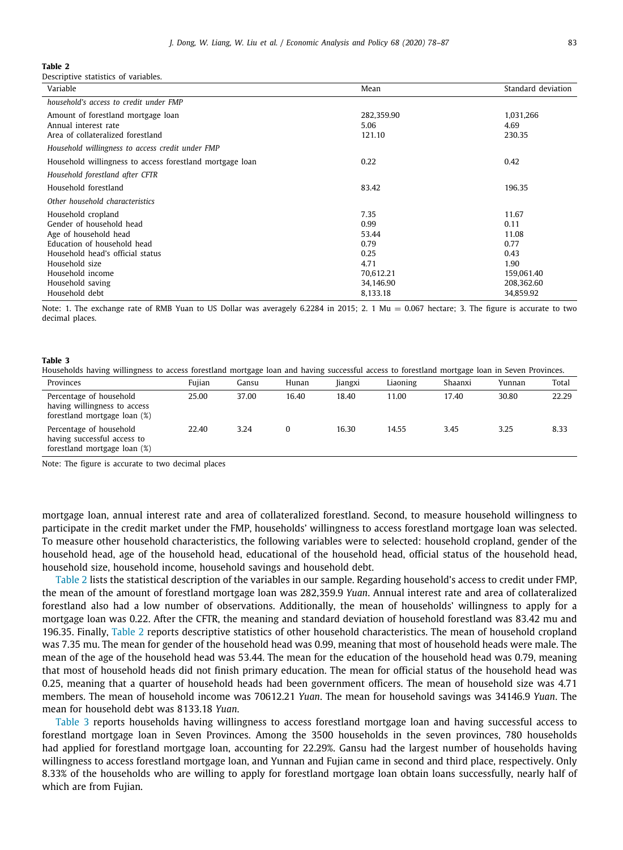<span id="page-5-0"></span>Descriptive statistics of variables.

| 282,359.90<br>1,031,266<br>4.69<br>121.10<br>230.35                       |                         |
|---------------------------------------------------------------------------|-------------------------|
|                                                                           |                         |
|                                                                           |                         |
|                                                                           |                         |
| 0.42                                                                      |                         |
|                                                                           |                         |
| 196.35                                                                    |                         |
|                                                                           |                         |
| 11.67<br>0.11<br>11.08<br>0.77<br>0.43<br>1.90<br>70,612.21<br>159,061.40 |                         |
|                                                                           | 34,146.90<br>208,362.60 |

Note: 1. The exchange rate of RMB Yuan to US Dollar was averagely 6.2284 in 2015; 2. 1 Mu = 0.067 hectare; 3. The figure is accurate to two decimal places.

#### **Table 3**

<span id="page-5-1"></span>Households having willingness to access forestland mortgage loan and having successful access to forestland mortgage loan in Seven Provinces.

| Provinces                                                                               | Fuiian | Gansu | Hunan | Jiangxi | Liaoning | Shaanxi | Yunnan | Total |
|-----------------------------------------------------------------------------------------|--------|-------|-------|---------|----------|---------|--------|-------|
| Percentage of household<br>having willingness to access<br>forestland mortgage loan (%) | 25.00  | 37.00 | 16.40 | 18.40   | 11.00    | 17.40   | 30.80  | 22.29 |
| Percentage of household<br>having successful access to<br>forestland mortgage loan (%)  | 22.40  | 3.24  | 0     | 16.30   | 14.55    | 3.45    | 3.25   | 8.33  |

Note: The figure is accurate to two decimal places

mortgage loan, annual interest rate and area of collateralized forestland. Second, to measure household willingness to participate in the credit market under the FMP, households' willingness to access forestland mortgage loan was selected. To measure other household characteristics, the following variables were to selected: household cropland, gender of the household head, age of the household head, educational of the household head, official status of the household head, household size, household income, household savings and household debt.

[Table](#page-5-0) [2](#page-5-0) lists the statistical description of the variables in our sample. Regarding household's access to credit under FMP, the mean of the amount of forestland mortgage loan was 282,359.9 *Yuan*. Annual interest rate and area of collateralized forestland also had a low number of observations. Additionally, the mean of households' willingness to apply for a mortgage loan was 0.22. After the CFTR, the meaning and standard deviation of household forestland was 83.42 mu and 196.35. Finally, [Table](#page-5-0) [2](#page-5-0) reports descriptive statistics of other household characteristics. The mean of household cropland was 7.35 mu. The mean for gender of the household head was 0.99, meaning that most of household heads were male. The mean of the age of the household head was 53.44. The mean for the education of the household head was 0.79, meaning that most of household heads did not finish primary education. The mean for official status of the household head was 0.25, meaning that a quarter of household heads had been government officers. The mean of household size was 4.71 members. The mean of household income was 70612.21 *Yuan*. The mean for household savings was 34146.9 *Yuan*. The mean for household debt was 8133.18 *Yuan*.

[Table](#page-5-1) [3](#page-5-1) reports households having willingness to access forestland mortgage loan and having successful access to forestland mortgage loan in Seven Provinces. Among the 3500 households in the seven provinces, 780 households had applied for forestland mortgage loan, accounting for 22.29%. Gansu had the largest number of households having willingness to access forestland mortgage loan, and Yunnan and Fujian came in second and third place, respectively. Only 8.33% of the households who are willing to apply for forestland mortgage loan obtain loans successfully, nearly half of which are from Fujian.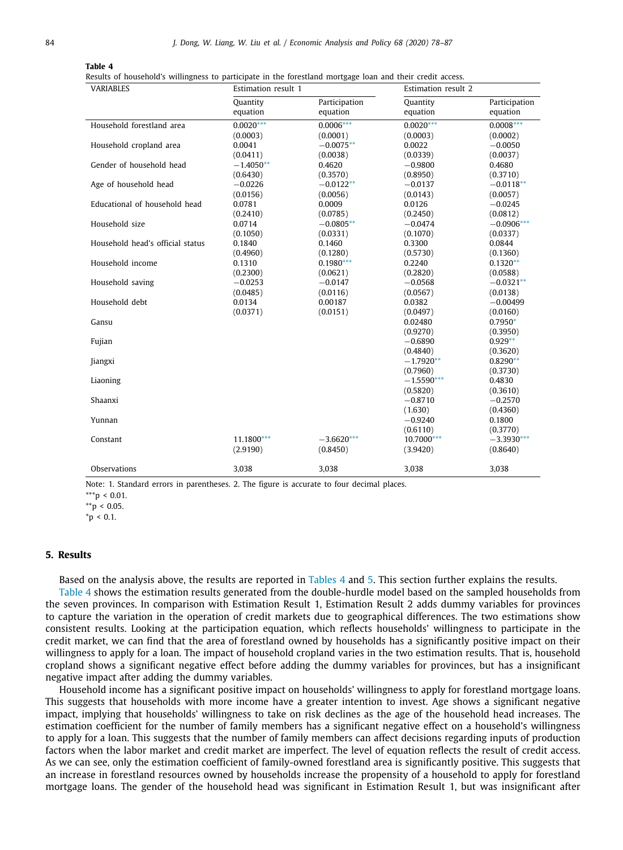<span id="page-6-3"></span>Results of household's willingness to participate in the forestland mortgage loan and their credit access.

| <b>VARIABLES</b>                 | Estimation result 1 |               | Estimation result 2 |               |  |
|----------------------------------|---------------------|---------------|---------------------|---------------|--|
|                                  | Quantity            | Participation | Quantity            | Participation |  |
|                                  | equation            | equation      | equation            | equation      |  |
| Household forestland area        | $0.0020***$         | $0.0006***$   | $0.0020***$         | $0.0008***$   |  |
|                                  | (0.0003)            | (0.0001)      | (0.0003)            | (0.0002)      |  |
| Household cropland area          | 0.0041              | $-0.0075**$   | 0.0022              | $-0.0050$     |  |
|                                  | (0.0411)            | (0.0038)      | (0.0339)            | (0.0037)      |  |
| Gender of household head         | $-1.4050**$         | 0.4620        | $-0.9800$           | 0.4680        |  |
|                                  | (0.6430)            | (0.3570)      | (0.8950)            | (0.3710)      |  |
| Age of household head            | $-0.0226$           | $-0.0122**$   | $-0.0137$           | $-0.0118**$   |  |
|                                  | (0.0156)            | (0.0056)      | (0.0143)            | (0.0057)      |  |
| Educational of household head    | 0.0781              | 0.0009        | 0.0126              | $-0.0245$     |  |
|                                  | (0.2410)            | (0.0785)      | (0.2450)            | (0.0812)      |  |
| Household size                   | 0.0714              | $-0.0805**$   | $-0.0474$           | $-0.0906***$  |  |
|                                  | (0.1050)            | (0.0331)      | (0.1070)            | (0.0337)      |  |
| Household head's official status | 0.1840              | 0.1460        | 0.3300              | 0.0844        |  |
|                                  | (0.4960)            | (0.1280)      | (0.5730)            | (0.1360)      |  |
| Household income                 | 0.1310              | $0.1980***$   | 0.2240              | $0.1320**$    |  |
|                                  | (0.2300)            | (0.0621)      | (0.2820)            | (0.0588)      |  |
| Household saving                 | $-0.0253$           | $-0.0147$     | $-0.0568$           | $-0.0321**$   |  |
|                                  | (0.0485)            | (0.0116)      | (0.0567)            | (0.0138)      |  |
| Household debt                   | 0.0134              | 0.00187       | 0.0382              | $-0.00499$    |  |
|                                  | (0.0371)            | (0.0151)      | (0.0497)            | (0.0160)      |  |
| Gansu                            |                     |               | 0.02480             | $0.7950*$     |  |
|                                  |                     |               | (0.9270)            | (0.3950)      |  |
| Fujian                           |                     |               | $-0.6890$           | $0.929**$     |  |
|                                  |                     |               | (0.4840)            | (0.3620)      |  |
| Jiangxi                          |                     |               | $-1.7920**$         | $0.8290**$    |  |
|                                  |                     |               | (0.7960)            | (0.3730)      |  |
| Liaoning                         |                     |               | $-1.5590***$        | 0.4830        |  |
|                                  |                     |               | (0.5820)            | (0.3610)      |  |
| Shaanxi                          |                     |               | $-0.8710$           | $-0.2570$     |  |
|                                  |                     |               | (1.630)             | (0.4360)      |  |
| Yunnan                           |                     |               | $-0.9240$           | 0.1800        |  |
|                                  |                     |               | (0.6110)            | (0.3770)      |  |
| Constant                         | 11.1800***          | $-3.6620***$  | 10.7000***          | $-3.3930***$  |  |
|                                  | (2.9190)            | (0.8450)      | (3.9420)            | (0.8640)      |  |
|                                  |                     |               |                     |               |  |
| Observations                     | 3,038               | 3,038         | 3,038               | 3,038         |  |

Note: 1. Standard errors in parentheses. 2. The figure is accurate to four decimal places.

<span id="page-6-2"></span> $*_{p}$  < 0.1.

## **5. Results**

Based on the analysis above, the results are reported in [Tables](#page-6-3) [4](#page-6-3) and [5](#page-7-0). This section further explains the results.

[Table](#page-6-3) [4](#page-6-3) shows the estimation results generated from the double-hurdle model based on the sampled households from the seven provinces. In comparison with Estimation Result 1, Estimation Result 2 adds dummy variables for provinces to capture the variation in the operation of credit markets due to geographical differences. The two estimations show consistent results. Looking at the participation equation, which reflects households' willingness to participate in the credit market, we can find that the area of forestland owned by households has a significantly positive impact on their willingness to apply for a loan. The impact of household cropland varies in the two estimation results. That is, household cropland shows a significant negative effect before adding the dummy variables for provinces, but has a insignificant negative impact after adding the dummy variables.

Household income has a significant positive impact on households' willingness to apply for forestland mortgage loans. This suggests that households with more income have a greater intention to invest. Age shows a significant negative impact, implying that households' willingness to take on risk declines as the age of the household head increases. The estimation coefficient for the number of family members has a significant negative effect on a household's willingness to apply for a loan. This suggests that the number of family members can affect decisions regarding inputs of production factors when the labor market and credit market are imperfect. The level of equation reflects the result of credit access. As we can see, only the estimation coefficient of family-owned forestland area is significantly positive. This suggests that an increase in forestland resources owned by households increase the propensity of a household to apply for forestland mortgage loans. The gender of the household head was significant in Estimation Result 1, but was insignificant after

<span id="page-6-0"></span><sup>\*\*\*</sup>p < 0.01.

<span id="page-6-1"></span> $*$ p < 0.05.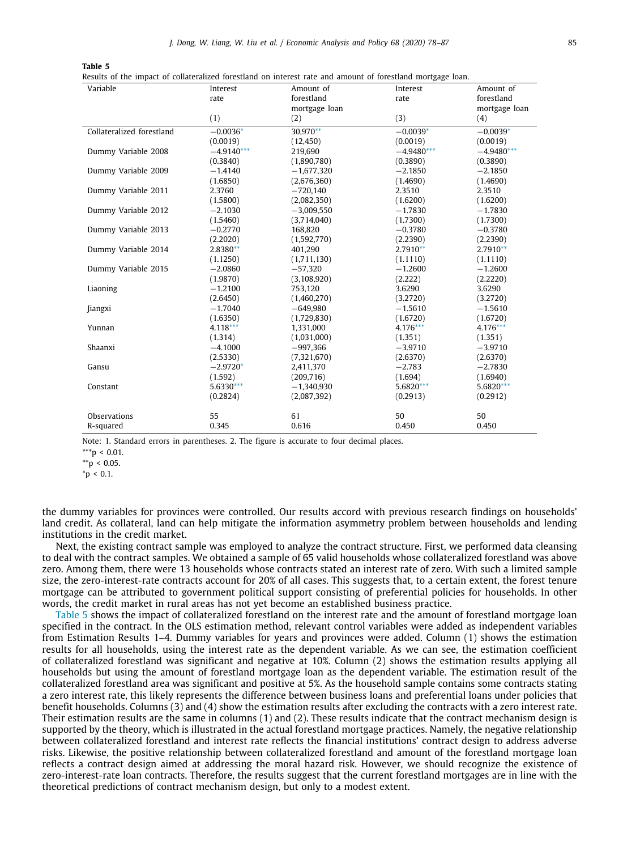<span id="page-7-0"></span>Results of the impact of collateralized forestland on interest rate and amount of forestland mortgage loan.

| Variable                  | Interest     | Amount of     | Interest     | Amount of     |
|---------------------------|--------------|---------------|--------------|---------------|
|                           | rate         | forestland    | rate         | forestland    |
|                           |              | mortgage loan |              | mortgage loan |
|                           | (1)          | (2)           | (3)          | (4)           |
| Collateralized forestland | $-0.0036*$   | 30.970**      | $-0.0039*$   | $-0.0039*$    |
|                           | (0.0019)     | (12, 450)     | (0.0019)     | (0.0019)      |
| Dummy Variable 2008       | $-4.9140***$ | 219,690       | $-4.9480***$ | $-4.9480***$  |
|                           | (0.3840)     | (1,890,780)   | (0.3890)     | (0.3890)      |
| Dummy Variable 2009       | $-1.4140$    | $-1,677,320$  | $-2.1850$    | $-2.1850$     |
|                           | (1.6850)     | (2,676,360)   | (1.4690)     | (1.4690)      |
| Dummy Variable 2011       | 2.3760       | $-720,140$    | 2.3510       | 2.3510        |
|                           | (1.5800)     | (2,082,350)   | (1.6200)     | (1.6200)      |
| Dummy Variable 2012       | $-2.1030$    | $-3.009.550$  | $-1.7830$    | $-1.7830$     |
|                           | (1.5460)     | (3,714,040)   | (1.7300)     | (1.7300)      |
| Dummy Variable 2013       | $-0.2770$    | 168.820       | $-0.3780$    | $-0.3780$     |
|                           | (2.2020)     | (1,592,770)   | (2.2390)     | (2.2390)      |
| Dummy Variable 2014       | 2.8380**     | 401,290       | $2.7910**$   | $2.7910**$    |
|                           | (1.1250)     | (1,711,130)   | (1.1110)     | (1.1110)      |
| Dummy Variable 2015       | $-2.0860$    | $-57,320$     | $-1.2600$    | $-1.2600$     |
|                           | (1.9870)     | (3, 108, 920) | (2.222)      | (2,2220)      |
| Liaoning                  | $-1.2100$    | 753,120       | 3.6290       | 3.6290        |
|                           | (2.6450)     | (1,460,270)   | (3.2720)     | (3.2720)      |
| Jiangxi                   | $-1.7040$    | $-649,980$    | $-1.5610$    | $-1.5610$     |
|                           | (1.6350)     | (1,729,830)   | (1.6720)     | (1.6720)      |
| Yunnan                    | $4.118***$   | 1,331,000     | $4.176***$   | $4.176***$    |
|                           | (1.314)      | (1,031,000)   | (1.351)      | (1.351)       |
| Shaanxi                   | $-4.1000$    | $-997.366$    | $-3.9710$    | $-3.9710$     |
|                           | (2.5330)     | (7,321,670)   | (2.6370)     | (2.6370)      |
| Gansu                     | $-2.9720*$   | 2,411,370     | $-2.783$     | $-2.7830$     |
|                           | (1.592)      | (209,716)     | (1.694)      | (1.6940)      |
| Constant                  | 5.6330***    | $-1.340.930$  | 5.6820***    | 5.6820***     |
|                           | (0.2824)     | (2,087,392)   | (0.2913)     | (0.2912)      |
| <b>Observations</b>       | 55           | 61            | 50           | 50            |
| R-squared                 | 0.345        | 0.616         | 0.450        | 0.450         |

Note: 1. Standard errors in parentheses. 2. The figure is accurate to four decimal places.

<span id="page-7-3"></span> $***p < 0.01$ .

<span id="page-7-2"></span> $*$  $p$  < 0.05.

<span id="page-7-1"></span> $*_{p}$  < 0.1.

the dummy variables for provinces were controlled. Our results accord with previous research findings on households' land credit. As collateral, land can help mitigate the information asymmetry problem between households and lending institutions in the credit market.

Next, the existing contract sample was employed to analyze the contract structure. First, we performed data cleansing to deal with the contract samples. We obtained a sample of 65 valid households whose collateralized forestland was above zero. Among them, there were 13 households whose contracts stated an interest rate of zero. With such a limited sample size, the zero-interest-rate contracts account for 20% of all cases. This suggests that, to a certain extent, the forest tenure mortgage can be attributed to government political support consisting of preferential policies for households. In other words, the credit market in rural areas has not yet become an established business practice.

[Table](#page-7-0) [5](#page-7-0) shows the impact of collateralized forestland on the interest rate and the amount of forestland mortgage loan specified in the contract. In the OLS estimation method, relevant control variables were added as independent variables from Estimation Results 1–4. Dummy variables for years and provinces were added. Column (1) shows the estimation results for all households, using the interest rate as the dependent variable. As we can see, the estimation coefficient of collateralized forestland was significant and negative at 10%. Column (2) shows the estimation results applying all households but using the amount of forestland mortgage loan as the dependent variable. The estimation result of the collateralized forestland area was significant and positive at 5%. As the household sample contains some contracts stating a zero interest rate, this likely represents the difference between business loans and preferential loans under policies that benefit households. Columns (3) and (4) show the estimation results after excluding the contracts with a zero interest rate. Their estimation results are the same in columns (1) and (2). These results indicate that the contract mechanism design is supported by the theory, which is illustrated in the actual forestland mortgage practices. Namely, the negative relationship between collateralized forestland and interest rate reflects the financial institutions' contract design to address adverse risks. Likewise, the positive relationship between collateralized forestland and amount of the forestland mortgage loan reflects a contract design aimed at addressing the moral hazard risk. However, we should recognize the existence of zero-interest-rate loan contracts. Therefore, the results suggest that the current forestland mortgages are in line with the theoretical predictions of contract mechanism design, but only to a modest extent.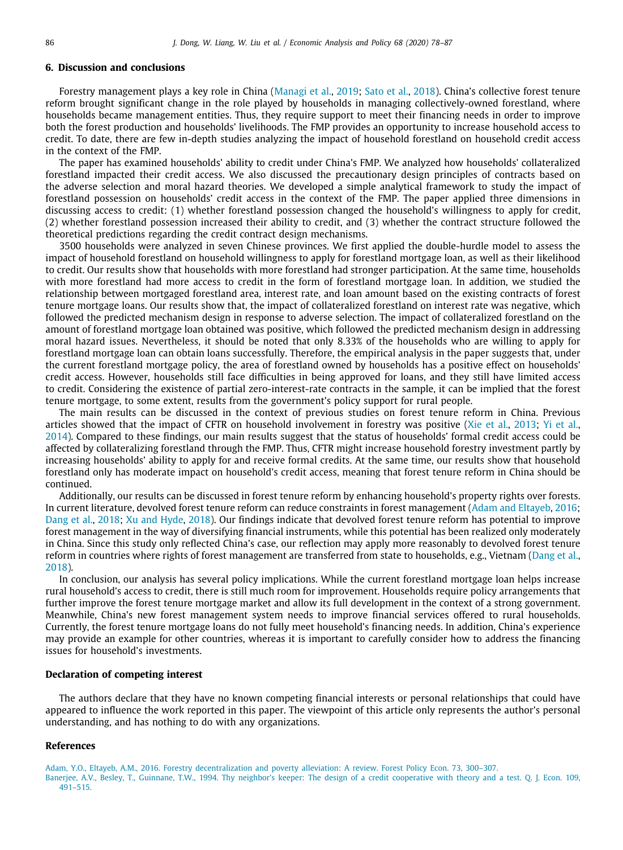## **6. Discussion and conclusions**

Forestry management plays a key role in China ([Managi et al.,](#page-9-0) [2019](#page-9-0); [Sato et al.,](#page-9-29) [2018\)](#page-9-29). China's collective forest tenure reform brought significant change in the role played by households in managing collectively-owned forestland, where households became management entities. Thus, they require support to meet their financing needs in order to improve both the forest production and households' livelihoods. The FMP provides an opportunity to increase household access to credit. To date, there are few in-depth studies analyzing the impact of household forestland on household credit access in the context of the FMP.

The paper has examined households' ability to credit under China's FMP. We analyzed how households' collateralized forestland impacted their credit access. We also discussed the precautionary design principles of contracts based on the adverse selection and moral hazard theories. We developed a simple analytical framework to study the impact of forestland possession on households' credit access in the context of the FMP. The paper applied three dimensions in discussing access to credit: (1) whether forestland possession changed the household's willingness to apply for credit, (2) whether forestland possession increased their ability to credit, and (3) whether the contract structure followed the theoretical predictions regarding the credit contract design mechanisms.

3500 households were analyzed in seven Chinese provinces. We first applied the double-hurdle model to assess the impact of household forestland on household willingness to apply for forestland mortgage loan, as well as their likelihood to credit. Our results show that households with more forestland had stronger participation. At the same time, households with more forestland had more access to credit in the form of forestland mortgage loan. In addition, we studied the relationship between mortgaged forestland area, interest rate, and loan amount based on the existing contracts of forest tenure mortgage loans. Our results show that, the impact of collateralized forestland on interest rate was negative, which followed the predicted mechanism design in response to adverse selection. The impact of collateralized forestland on the amount of forestland mortgage loan obtained was positive, which followed the predicted mechanism design in addressing moral hazard issues. Nevertheless, it should be noted that only 8.33% of the households who are willing to apply for forestland mortgage loan can obtain loans successfully. Therefore, the empirical analysis in the paper suggests that, under the current forestland mortgage policy, the area of forestland owned by households has a positive effect on households' credit access. However, households still face difficulties in being approved for loans, and they still have limited access to credit. Considering the existence of partial zero-interest-rate contracts in the sample, it can be implied that the forest tenure mortgage, to some extent, results from the government's policy support for rural people.

The main results can be discussed in the context of previous studies on forest tenure reform in China. Previous articles showed that the impact of CFTR on household involvement in forestry was positive ([Xie et al.](#page-9-30), [2013;](#page-9-30) [Yi et al.](#page-9-31), [2014](#page-9-31)). Compared to these findings, our main results suggest that the status of households' formal credit access could be affected by collateralizing forestland through the FMP. Thus, CFTR might increase household forestry investment partly by increasing households' ability to apply for and receive formal credits. At the same time, our results show that household forestland only has moderate impact on household's credit access, meaning that forest tenure reform in China should be continued.

Additionally, our results can be discussed in forest tenure reform by enhancing household's property rights over forests. In current literature, devolved forest tenure reform can reduce constraints in forest management [\(Adam and Eltayeb](#page-8-1), [2016](#page-8-1); [Dang et al.,](#page-9-32) [2018;](#page-9-32) [Xu and Hyde](#page-9-33), [2018](#page-9-33)). Our findings indicate that devolved forest tenure reform has potential to improve forest management in the way of diversifying financial instruments, while this potential has been realized only moderately in China. Since this study only reflected China's case, our reflection may apply more reasonably to devolved forest tenure reform in countries where rights of forest management are transferred from state to households, e.g., Vietnam [\(Dang et al.](#page-9-32), [2018](#page-9-32)).

In conclusion, our analysis has several policy implications. While the current forestland mortgage loan helps increase rural household's access to credit, there is still much room for improvement. Households require policy arrangements that further improve the forest tenure mortgage market and allow its full development in the context of a strong government. Meanwhile, China's new forest management system needs to improve financial services offered to rural households. Currently, the forest tenure mortgage loans do not fully meet household's financing needs. In addition, China's experience may provide an example for other countries, whereas it is important to carefully consider how to address the financing issues for household's investments.

## **Declaration of competing interest**

The authors declare that they have no known competing financial interests or personal relationships that could have appeared to influence the work reported in this paper. The viewpoint of this article only represents the author's personal understanding, and has nothing to do with any organizations.

## <span id="page-8-1"></span><span id="page-8-0"></span>**References**